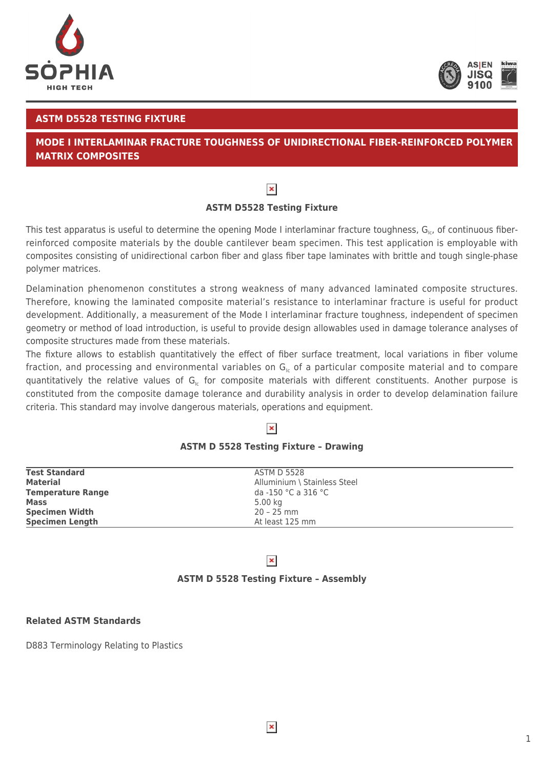



#### **ASTM D5528 TESTING FIXTURE**

# **MODE I INTERLAMINAR FRACTURE TOUGHNESS OF UNIDIRECTIONAL FIBER-REINFORCED POLYMER MATRIX COMPOSITES**

# $\pmb{\times}$

## **ASTM D5528 Testing Fixture**

This test apparatus is useful to determine the opening Mode I interlaminar fracture toughness,  $G_{1c}$ , of continuous fiberreinforced composite materials by the double cantilever beam specimen. This test application is employable with composites consisting of unidirectional carbon fiber and glass fiber tape laminates with brittle and tough single-phase polymer matrices.

Delamination phenomenon constitutes a strong weakness of many advanced laminated composite structures. Therefore, knowing the laminated composite material's resistance to interlaminar fracture is useful for product development. Additionally, a measurement of the Mode I interlaminar fracture toughness, independent of specimen geometry or method of load introduction, is useful to provide design allowables used in damage tolerance analyses of composite structures made from these materials.

The fixture allows to establish quantitatively the effect of fiber surface treatment, local variations in fiber volume fraction, and processing and environmental variables on  $G<sub>1c</sub>$  of a particular composite material and to compare quantitatively the relative values of  $G<sub>ic</sub>$  for composite materials with different constituents. Another purpose is constituted from the composite damage tolerance and durability analysis in order to develop delamination failure criteria. This standard may involve dangerous materials, operations and equipment.

### $\pmb{\times}$

#### **ASTM D 5528 Testing Fixture – Drawing**

| Alluminium \ Stainless Steel<br><b>Material</b><br><b>Temperature Range</b><br>da -150 °C a 316 °C<br><b>Mass</b><br>5.00 kg<br><b>Specimen Width</b><br>$20 - 25$ mm | <b>Test Standard</b>   | ASTM D 5528     |  |
|-----------------------------------------------------------------------------------------------------------------------------------------------------------------------|------------------------|-----------------|--|
|                                                                                                                                                                       |                        |                 |  |
|                                                                                                                                                                       |                        |                 |  |
|                                                                                                                                                                       |                        |                 |  |
|                                                                                                                                                                       |                        |                 |  |
|                                                                                                                                                                       | <b>Specimen Length</b> | At least 125 mm |  |

### $\pmb{\times}$

#### **ASTM D 5528 Testing Fixture – Assembly**

#### **Related ASTM Standards**

D883 Terminology Relating to Plastics